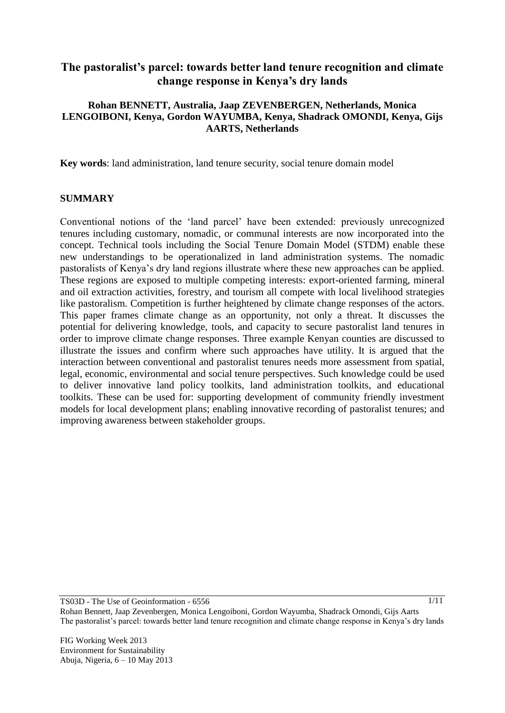# **The pastoralist's parcel: towards better land tenure recognition and climate change response in Kenya's dry lands**

### **Rohan BENNETT, Australia, Jaap ZEVENBERGEN, Netherlands, Monica LENGOIBONI, Kenya, Gordon WAYUMBA, Kenya, Shadrack OMONDI, Kenya, Gijs AARTS, Netherlands**

**Key words**: land administration, land tenure security, social tenure domain model

#### **SUMMARY**

Conventional notions of the 'land parcel' have been extended: previously unrecognized tenures including customary, nomadic, or communal interests are now incorporated into the concept. Technical tools including the Social Tenure Domain Model (STDM) enable these new understandings to be operationalized in land administration systems. The nomadic pastoralists of Kenya's dry land regions illustrate where these new approaches can be applied. These regions are exposed to multiple competing interests: export-oriented farming, mineral and oil extraction activities, forestry, and tourism all compete with local livelihood strategies like pastoralism. Competition is further heightened by climate change responses of the actors. This paper frames climate change as an opportunity, not only a threat. It discusses the potential for delivering knowledge, tools, and capacity to secure pastoralist land tenures in order to improve climate change responses. Three example Kenyan counties are discussed to illustrate the issues and confirm where such approaches have utility. It is argued that the interaction between conventional and pastoralist tenures needs more assessment from spatial, legal, economic, environmental and social tenure perspectives. Such knowledge could be used to deliver innovative land policy toolkits, land administration toolkits, and educational toolkits. These can be used for: supporting development of community friendly investment models for local development plans; enabling innovative recording of pastoralist tenures; and improving awareness between stakeholder groups.

TS03D - The Use of Geoinformation - 6556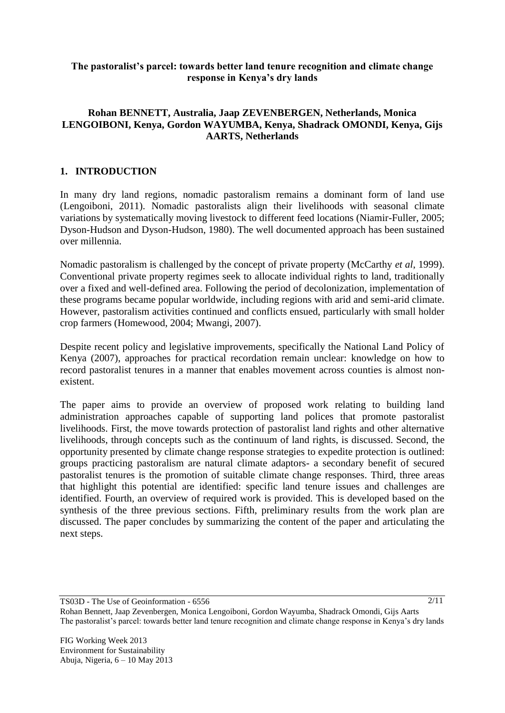### **The pastoralist's parcel: towards better land tenure recognition and climate change response in Kenya's dry lands**

### **Rohan BENNETT, Australia, Jaap ZEVENBERGEN, Netherlands, Monica LENGOIBONI, Kenya, Gordon WAYUMBA, Kenya, Shadrack OMONDI, Kenya, Gijs AARTS, Netherlands**

### **1. INTRODUCTION**

In many dry land regions, nomadic pastoralism remains a dominant form of land use (Lengoiboni, 2011). Nomadic pastoralists align their livelihoods with seasonal climate variations by systematically moving livestock to different feed locations (Niamir-Fuller, 2005; Dyson-Hudson and Dyson-Hudson, 1980). The well documented approach has been sustained over millennia.

Nomadic pastoralism is challenged by the concept of private property (McCarthy *et al*, 1999). Conventional private property regimes seek to allocate individual rights to land, traditionally over a fixed and well-defined area. Following the period of decolonization, implementation of these programs became popular worldwide, including regions with arid and semi-arid climate. However, pastoralism activities continued and conflicts ensued, particularly with small holder crop farmers (Homewood, 2004; Mwangi, 2007).

Despite recent policy and legislative improvements, specifically the National Land Policy of Kenya (2007), approaches for practical recordation remain unclear: knowledge on how to record pastoralist tenures in a manner that enables movement across counties is almost nonexistent.

The paper aims to provide an overview of proposed work relating to building land administration approaches capable of supporting land polices that promote pastoralist livelihoods. First, the move towards protection of pastoralist land rights and other alternative livelihoods, through concepts such as the continuum of land rights, is discussed. Second, the opportunity presented by climate change response strategies to expedite protection is outlined: groups practicing pastoralism are natural climate adaptors- a secondary benefit of secured pastoralist tenures is the promotion of suitable climate change responses. Third, three areas that highlight this potential are identified: specific land tenure issues and challenges are identified. Fourth, an overview of required work is provided. This is developed based on the synthesis of the three previous sections. Fifth, preliminary results from the work plan are discussed. The paper concludes by summarizing the content of the paper and articulating the next steps.

TS03D - The Use of Geoinformation - 6556

 $2/11$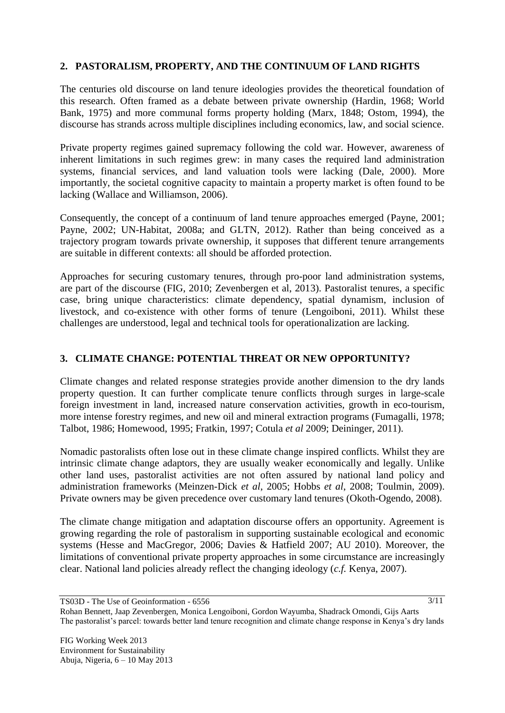### **2. PASTORALISM, PROPERTY, AND THE CONTINUUM OF LAND RIGHTS**

The centuries old discourse on land tenure ideologies provides the theoretical foundation of this research. Often framed as a debate between private ownership (Hardin, 1968; World Bank, 1975) and more communal forms property holding (Marx, 1848; Ostom, 1994), the discourse has strands across multiple disciplines including economics, law, and social science.

Private property regimes gained supremacy following the cold war. However, awareness of inherent limitations in such regimes grew: in many cases the required land administration systems, financial services, and land valuation tools were lacking (Dale, 2000). More importantly, the societal cognitive capacity to maintain a property market is often found to be lacking (Wallace and Williamson, 2006).

Consequently, the concept of a continuum of land tenure approaches emerged (Payne, 2001; Payne, 2002; UN-Habitat, 2008a; and GLTN, 2012). Rather than being conceived as a trajectory program towards private ownership, it supposes that different tenure arrangements are suitable in different contexts: all should be afforded protection.

Approaches for securing customary tenures, through pro-poor land administration systems, are part of the discourse (FIG, 2010; Zevenbergen et al, 2013). Pastoralist tenures, a specific case, bring unique characteristics: climate dependency, spatial dynamism, inclusion of livestock, and co-existence with other forms of tenure (Lengoiboni, 2011). Whilst these challenges are understood, legal and technical tools for operationalization are lacking.

### **3. CLIMATE CHANGE: POTENTIAL THREAT OR NEW OPPORTUNITY?**

Climate changes and related response strategies provide another dimension to the dry lands property question. It can further complicate tenure conflicts through surges in large-scale foreign investment in land, increased nature conservation activities, growth in eco-tourism, more intense forestry regimes, and new oil and mineral extraction programs (Fumagalli, 1978; Talbot, 1986; Homewood, 1995; Fratkin, 1997; Cotula *et al* 2009; Deininger, 2011).

Nomadic pastoralists often lose out in these climate change inspired conflicts. Whilst they are intrinsic climate change adaptors, they are usually weaker economically and legally. Unlike other land uses, pastoralist activities are not often assured by national land policy and administration frameworks (Meinzen-Dick *et al*, 2005; Hobbs *et al*, 2008; Toulmin, 2009). Private owners may be given precedence over customary land tenures (Okoth-Ogendo, 2008).

The climate change mitigation and adaptation discourse offers an opportunity. Agreement is growing regarding the role of pastoralism in supporting sustainable ecological and economic systems (Hesse and MacGregor, 2006; Davies & Hatfield 2007; AU 2010). Moreover, the limitations of conventional private property approaches in some circumstance are increasingly clear. National land policies already reflect the changing ideology (*c.f.* Kenya, 2007).

TS03D - The Use of Geoinformation - 6556

Rohan Bennett, Jaap Zevenbergen, Monica Lengoiboni, Gordon Wayumba, Shadrack Omondi, Gijs Aarts The pastoralist's parcel: towards better land tenure recognition and climate change response in Kenya's dry lands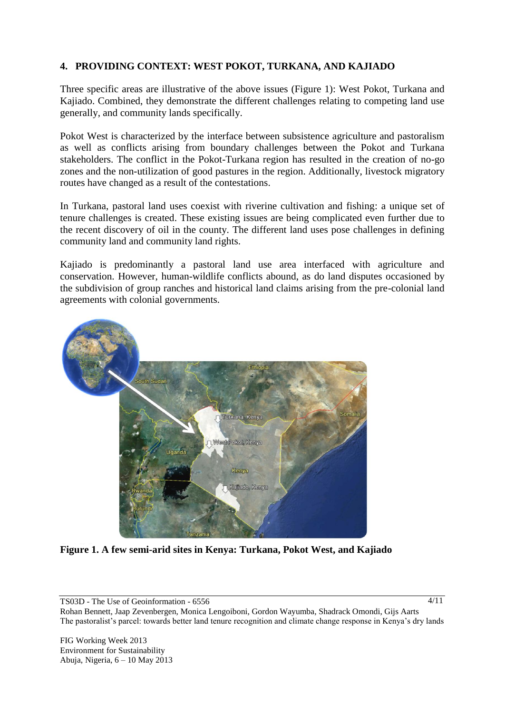### **4. PROVIDING CONTEXT: WEST POKOT, TURKANA, AND KAJIADO**

Three specific areas are illustrative of the above issues (Figure 1): West Pokot, Turkana and Kajiado. Combined, they demonstrate the different challenges relating to competing land use generally, and community lands specifically.

Pokot West is characterized by the interface between subsistence agriculture and pastoralism as well as conflicts arising from boundary challenges between the Pokot and Turkana stakeholders. The conflict in the Pokot-Turkana region has resulted in the creation of no-go zones and the non-utilization of good pastures in the region. Additionally, livestock migratory routes have changed as a result of the contestations.

In Turkana, pastoral land uses coexist with riverine cultivation and fishing: a unique set of tenure challenges is created. These existing issues are being complicated even further due to the recent discovery of oil in the county. The different land uses pose challenges in defining community land and community land rights.

Kajiado is predominantly a pastoral land use area interfaced with agriculture and conservation. However, human-wildlife conflicts abound, as do land disputes occasioned by the subdivision of group ranches and historical land claims arising from the pre-colonial land agreements with colonial governments.



**Figure 1. A few semi-arid sites in Kenya: Turkana, Pokot West, and Kajiado**

TS03D - The Use of Geoinformation - 6556

 $4/11$ 

Rohan Bennett, Jaap Zevenbergen, Monica Lengoiboni, Gordon Wayumba, Shadrack Omondi, Gijs Aarts The pastoralist's parcel: towards better land tenure recognition and climate change response in Kenya's dry lands

FIG Working Week 2013 Environment for Sustainability Abuja, Nigeria, 6 – 10 May 2013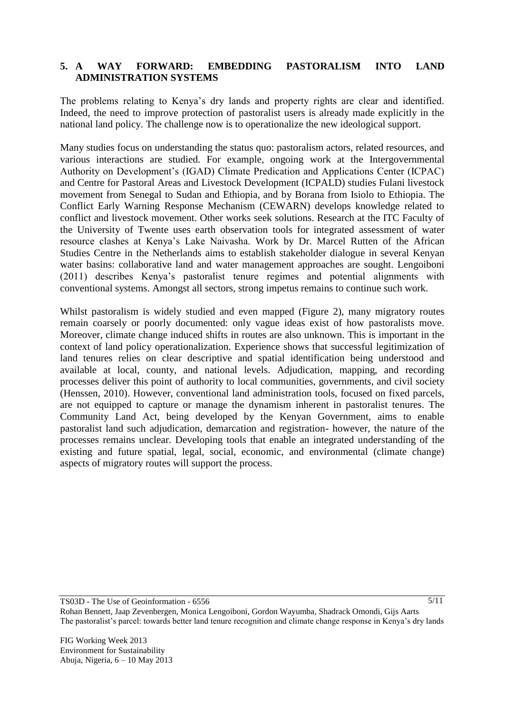### **5. A WAY FORWARD: EMBEDDING PASTORALISM INTO LAND ADMINISTRATION SYSTEMS**

The problems relating to Kenya's dry lands and property rights are clear and identified. Indeed, the need to improve protection of pastoralist users is already made explicitly in the national land policy. The challenge now is to operationalize the new ideological support.

Many studies focus on understanding the status quo: pastoralism actors, related resources, and various interactions are studied. For example, ongoing work at the Intergovernmental Authority on Development's (IGAD) Climate Predication and Applications Center (ICPAC) and Centre for Pastoral Areas and Livestock Development (ICPALD) studies Fulani livestock movement from Senegal to Sudan and Ethiopia, and by Borana from Isiolo to Ethiopia. The Conflict Early Warning Response Mechanism (CEWARN) develops knowledge related to conflict and livestock movement. Other works seek solutions. Research at the ITC Faculty of the University of Twente uses earth observation tools for integrated assessment of water resource clashes at Kenya's Lake Naivasha. Work by Dr. Marcel Rutten of the African Studies Centre in the Netherlands aims to establish stakeholder dialogue in several Kenyan water basins: collaborative land and water management approaches are sought. Lengoiboni (2011) describes Kenya's pastoralist tenure regimes and potential alignments with conventional systems. Amongst all sectors, strong impetus remains to continue such work.

Whilst pastoralism is widely studied and even mapped (Figure 2), many migratory routes remain coarsely or poorly documented: only vague ideas exist of how pastoralists move. Moreover, climate change induced shifts in routes are also unknown. This is important in the context of land policy operationalization. Experience shows that successful legitimization of land tenures relies on clear descriptive and spatial identification being understood and available at local, county, and national levels. Adjudication, mapping, and recording processes deliver this point of authority to local communities, governments, and civil society (Henssen, 2010). However, conventional land administration tools, focused on fixed parcels, are not equipped to capture or manage the dynamism inherent in pastoralist tenures. The Community Land Act, being developed by the Kenyan Government, aims to enable pastoralist land such adjudication, demarcation and registration- however, the nature of the processes remains unclear. Developing tools that enable an integrated understanding of the existing and future spatial, legal, social, economic, and environmental (climate change) aspects of migratory routes will support the process.

TS03D - The Use of Geoinformation - 6556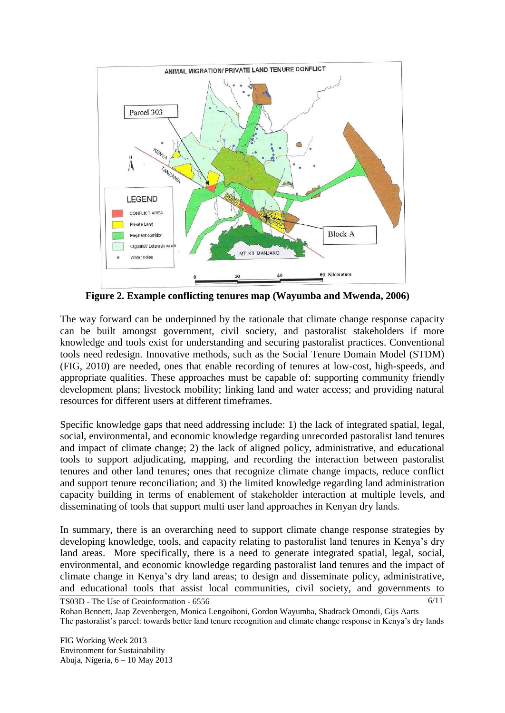

 **Figure 2. Example conflicting tenures map (Wayumba and Mwenda, 2006)**

The way forward can be underpinned by the rationale that climate change response capacity can be built amongst government, civil society, and pastoralist stakeholders if more knowledge and tools exist for understanding and securing pastoralist practices. Conventional tools need redesign. Innovative methods, such as the Social Tenure Domain Model (STDM) (FIG, 2010) are needed, ones that enable recording of tenures at low-cost, high-speeds, and appropriate qualities. These approaches must be capable of: supporting community friendly development plans; livestock mobility; linking land and water access; and providing natural resources for different users at different timeframes.

Specific knowledge gaps that need addressing include: 1) the lack of integrated spatial, legal, social, environmental, and economic knowledge regarding unrecorded pastoralist land tenures and impact of climate change; 2) the lack of aligned policy, administrative, and educational tools to support adjudicating, mapping, and recording the interaction between pastoralist tenures and other land tenures; ones that recognize climate change impacts, reduce conflict and support tenure reconciliation; and 3) the limited knowledge regarding land administration capacity building in terms of enablement of stakeholder interaction at multiple levels, and disseminating of tools that support multi user land approaches in Kenyan dry lands.

In summary, there is an overarching need to support climate change response strategies by developing knowledge, tools, and capacity relating to pastoralist land tenures in Kenya's dry land areas. More specifically, there is a need to generate integrated spatial, legal, social, environmental, and economic knowledge regarding pastoralist land tenures and the impact of climate change in Kenya's dry land areas; to design and disseminate policy, administrative, and educational tools that assist local communities, civil society, and governments to

TS03D - The Use of Geoinformation - 6556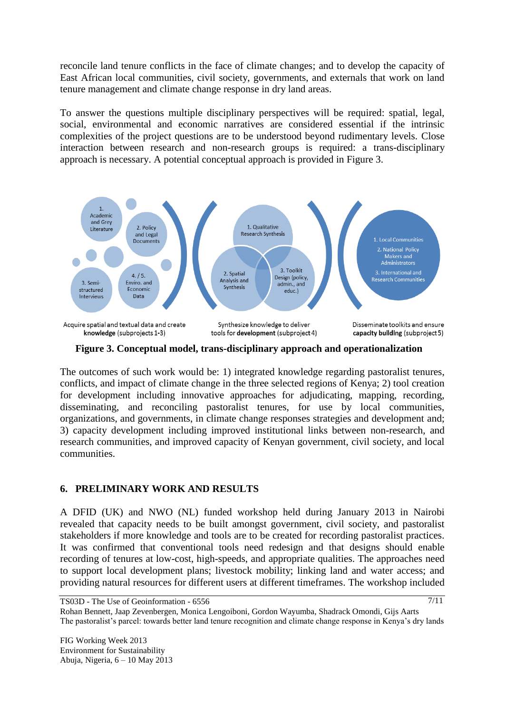reconcile land tenure conflicts in the face of climate changes; and to develop the capacity of East African local communities, civil society, governments, and externals that work on land tenure management and climate change response in dry land areas.

To answer the questions multiple disciplinary perspectives will be required: spatial, legal, social, environmental and economic narratives are considered essential if the intrinsic complexities of the project questions are to be understood beyond rudimentary levels. Close interaction between research and non-research groups is required: a trans-disciplinary approach is necessary. A potential conceptual approach is provided in Figure 3.



**Figure 3. Conceptual model, trans-disciplinary approach and operationalization**

The outcomes of such work would be: 1) integrated knowledge regarding pastoralist tenures, conflicts, and impact of climate change in the three selected regions of Kenya; 2) tool creation for development including innovative approaches for adjudicating, mapping, recording, disseminating, and reconciling pastoralist tenures, for use by local communities, organizations, and governments, in climate change responses strategies and development and; 3) capacity development including improved institutional links between non-research, and research communities, and improved capacity of Kenyan government, civil society, and local communities.

## **6. PRELIMINARY WORK AND RESULTS**

A DFID (UK) and NWO (NL) funded workshop held during January 2013 in Nairobi revealed that capacity needs to be built amongst government, civil society, and pastoralist stakeholders if more knowledge and tools are to be created for recording pastoralist practices. It was confirmed that conventional tools need redesign and that designs should enable recording of tenures at low-cost, high-speeds, and appropriate qualities. The approaches need to support local development plans; livestock mobility; linking land and water access; and providing natural resources for different users at different timeframes. The workshop included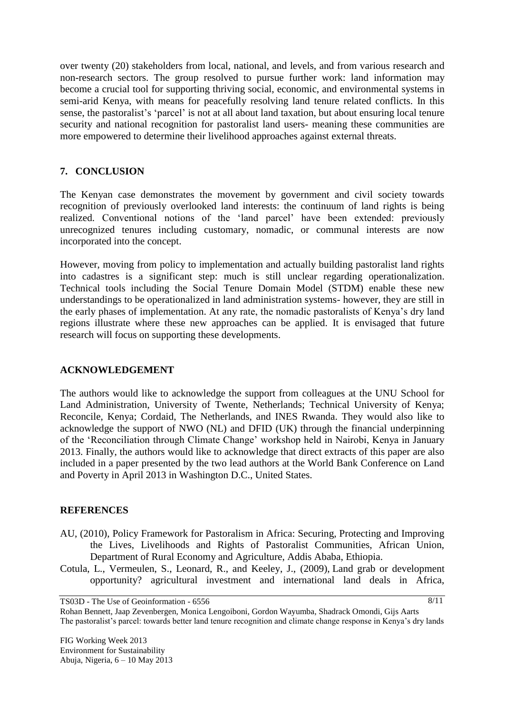over twenty (20) stakeholders from local, national, and levels, and from various research and non-research sectors. The group resolved to pursue further work: land information may become a crucial tool for supporting thriving social, economic, and environmental systems in semi-arid Kenya, with means for peacefully resolving land tenure related conflicts. In this sense, the pastoralist's 'parcel' is not at all about land taxation, but about ensuring local tenure security and national recognition for pastoralist land users- meaning these communities are more empowered to determine their livelihood approaches against external threats.

### **7. CONCLUSION**

The Kenyan case demonstrates the movement by government and civil society towards recognition of previously overlooked land interests: the continuum of land rights is being realized. Conventional notions of the 'land parcel' have been extended: previously unrecognized tenures including customary, nomadic, or communal interests are now incorporated into the concept.

However, moving from policy to implementation and actually building pastoralist land rights into cadastres is a significant step: much is still unclear regarding operationalization. Technical tools including the Social Tenure Domain Model (STDM) enable these new understandings to be operationalized in land administration systems- however, they are still in the early phases of implementation. At any rate, the nomadic pastoralists of Kenya's dry land regions illustrate where these new approaches can be applied. It is envisaged that future research will focus on supporting these developments.

### **ACKNOWLEDGEMENT**

The authors would like to acknowledge the support from colleagues at the UNU School for Land Administration, University of Twente, Netherlands; Technical University of Kenya; Reconcile, Kenya; Cordaid, The Netherlands, and INES Rwanda. They would also like to acknowledge the support of NWO (NL) and DFID (UK) through the financial underpinning of the 'Reconciliation through Climate Change' workshop held in Nairobi, Kenya in January 2013. Finally, the authors would like to acknowledge that direct extracts of this paper are also included in a paper presented by the two lead authors at the World Bank Conference on Land and Poverty in April 2013 in Washington D.C., United States.

### **REFERENCES**

- AU, (2010), Policy Framework for Pastoralism in Africa: Securing, Protecting and Improving the Lives, Livelihoods and Rights of Pastoralist Communities, African Union, Department of Rural Economy and Agriculture, Addis Ababa, Ethiopia.
- Cotula, L., Vermeulen, S., Leonard, R., and Keeley, J., (2009), Land grab or development opportunity? agricultural investment and international land deals in Africa,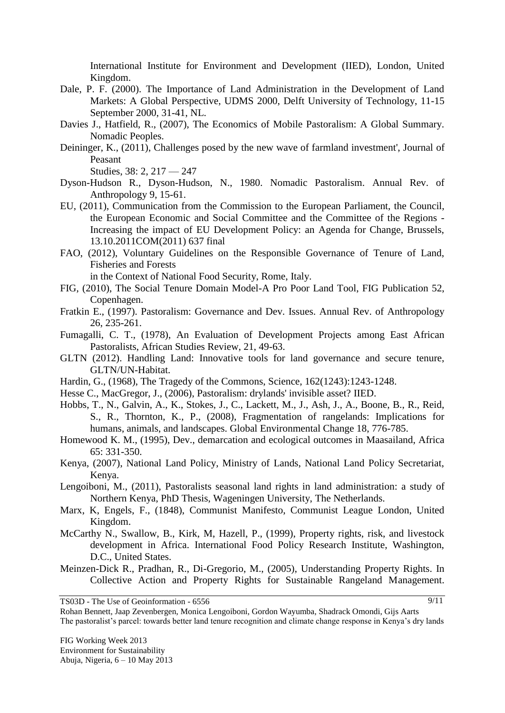International Institute for Environment and Development (IIED), London, United Kingdom.

- Dale, P. F. (2000). The Importance of Land Administration in the Development of Land Markets: A Global Perspective, UDMS 2000, Delft University of Technology, 11-15 September 2000, 31-41, NL.
- Davies J., Hatfield, R., (2007), The Economics of Mobile Pastoralism: A Global Summary. Nomadic Peoples.
- Deininger, K., (2011), Challenges posed by the new wave of farmland investment', Journal of Peasant

Studies, 38: 2, 217 — 247

- Dyson-Hudson R., Dyson-Hudson, N., 1980. Nomadic Pastoralism. Annual Rev. of Anthropology 9, 15-61.
- EU, (2011), Communication from the Commission to the European Parliament, the Council, the European Economic and Social Committee and the Committee of the Regions - Increasing the impact of EU Development Policy: an Agenda for Change, Brussels, 13.10.2011COM(2011) 637 final
- FAO, (2012), Voluntary Guidelines on the Responsible Governance of Tenure of Land, Fisheries and Forests

in the Context of National Food Security, Rome, Italy.

- FIG, (2010), The Social Tenure Domain Model-A Pro Poor Land Tool, FIG Publication 52, Copenhagen.
- Fratkin E., (1997). Pastoralism: Governance and Dev. Issues. Annual Rev. of Anthropology 26, 235-261.
- Fumagalli, C. T., (1978), An Evaluation of Development Projects among East African Pastoralists, African Studies Review, 21, 49-63.
- GLTN (2012). Handling Land: Innovative tools for land governance and secure tenure, GLTN/UN-Habitat.
- Hardin, G., (1968), The Tragedy of the Commons, Science, 162(1243):1243-1248.
- Hesse C., MacGregor, J., (2006), Pastoralism: drylands' invisible asset? IIED.
- Hobbs, T., N., Galvin, A., K., Stokes, J., C., Lackett, M., J., Ash, J., A., Boone, B., R., Reid, S., R., Thornton, K., P., (2008), Fragmentation of rangelands: Implications for humans, animals, and landscapes. Global Environmental Change 18, 776-785.
- Homewood K. M., (1995), Dev., demarcation and ecological outcomes in Maasailand, Africa 65: 331-350.
- Kenya, (2007), National Land Policy, Ministry of Lands, National Land Policy Secretariat, Kenya.
- Lengoiboni, M., (2011), Pastoralists seasonal land rights in land administration: a study of Northern Kenya, PhD Thesis, Wageningen University, The Netherlands.
- Marx, K, Engels, F., (1848), Communist Manifesto, Communist League London, United Kingdom.
- McCarthy N., Swallow, B., Kirk, M, Hazell, P., (1999), Property rights, risk, and livestock development in Africa. International Food Policy Research Institute, Washington, D.C., United States.
- Meinzen-Dick R., Pradhan, R., Di-Gregorio, M., (2005), Understanding Property Rights. In Collective Action and Property Rights for Sustainable Rangeland Management.

TS03D - The Use of Geoinformation - 6556

 $9/11$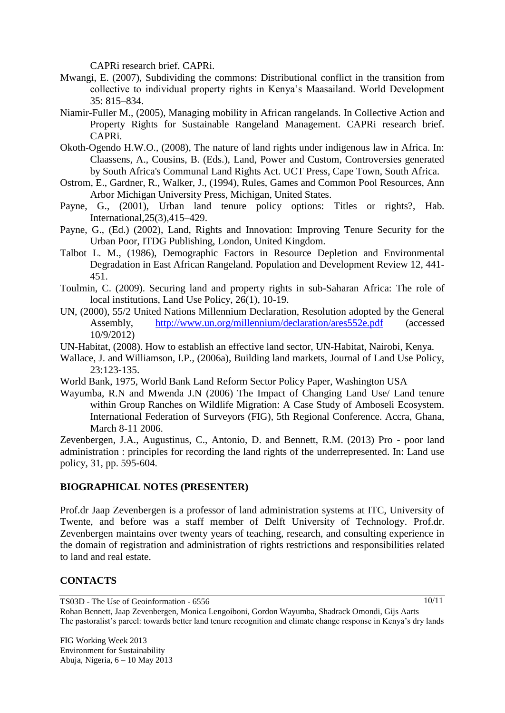CAPRi research brief. CAPRi.

- Mwangi, E. (2007), Subdividing the commons: Distributional conflict in the transition from collective to individual property rights in Kenya's Maasailand. World Development 35: 815–834.
- Niamir-Fuller M., (2005), Managing mobility in African rangelands. In Collective Action and Property Rights for Sustainable Rangeland Management. CAPRi research brief. CAPRi.
- Okoth-Ogendo H.W.O., (2008), The nature of land rights under indigenous law in Africa. In: Claassens, A., Cousins, B. (Eds.), Land, Power and Custom, Controversies generated by South Africa's Communal Land Rights Act. UCT Press, Cape Town, South Africa.
- Ostrom, E., Gardner, R., Walker, J., (1994), Rules, Games and Common Pool Resources, Ann Arbor Michigan University Press, Michigan, United States.
- Payne, G., (2001), Urban land tenure policy options: Titles or rights?, Hab. International,25(3),415–429.
- Payne, G., (Ed.) (2002), Land, Rights and Innovation: Improving Tenure Security for the Urban Poor, ITDG Publishing, London, United Kingdom.
- Talbot L. M., (1986), Demographic Factors in Resource Depletion and Environmental Degradation in East African Rangeland. Population and Development Review 12, 441- 451.
- Toulmin, C. (2009). Securing land and property rights in sub-Saharan Africa: The role of local institutions, Land Use Policy, 26(1), 10-19.
- UN, (2000), 55/2 United Nations Millennium Declaration, Resolution adopted by the General Assembly, <http://www.un.org/millennium/declaration/ares552e.pdf> (accessed 10/9/2012)

UN-Habitat, (2008). How to establish an effective land sector, UN-Habitat, Nairobi, Kenya.

- Wallace, J. and Williamson, I.P., (2006a), Building land markets, Journal of Land Use Policy, 23:123-135.
- World Bank, 1975, World Bank Land Reform Sector Policy Paper, Washington USA
- Wayumba, R.N and Mwenda J.N (2006) The Impact of Changing Land Use/ Land tenure within Group Ranches on Wildlife Migration: A Case Study of Amboseli Ecosystem. International Federation of Surveyors (FIG), 5th Regional Conference. Accra, Ghana, March 8-11 2006.

Zevenbergen, J.A., Augustinus, C., Antonio, D. and Bennett, R.M. (2013) Pro - poor land administration : principles for recording the land rights of the underrepresented. In: Land use policy, 31, pp. 595-604.

### **BIOGRAPHICAL NOTES (PRESENTER)**

Prof.dr Jaap Zevenbergen is a professor of land administration systems at ITC, University of Twente, and before was a staff member of Delft University of Technology. Prof.dr. Zevenbergen maintains over twenty years of teaching, research, and consulting experience in the domain of registration and administration of rights restrictions and responsibilities related to land and real estate.

### **CONTACTS**

TS03D - The Use of Geoinformation - 6556

 $10/11$